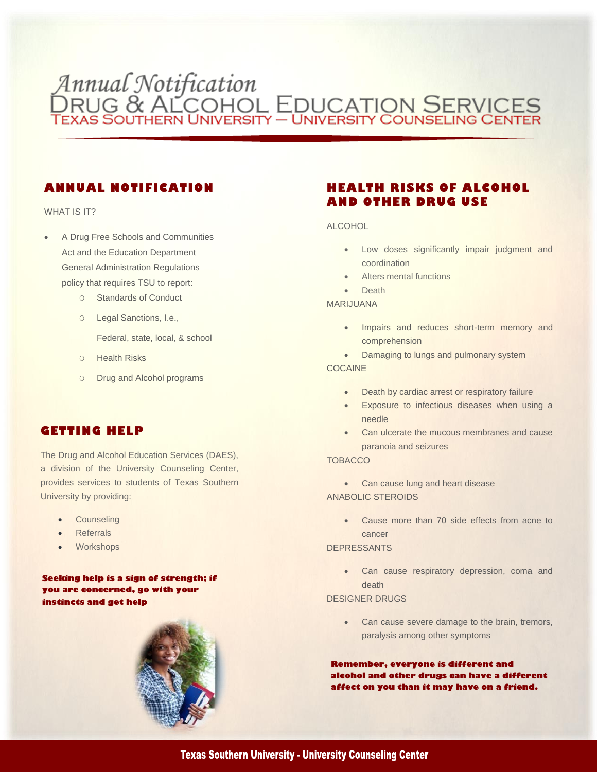# Annual Notification<br>DRUG & ALCOHOL EDUCATION SERVICES

## **ANNUAL NOTIFICATION**

#### WHAT IS IT?

- A Drug Free Schools and Communities Act and the Education Department General Administration Regulations policy that requires TSU to report:
	- O Standards of Conduct
	- O Legal Sanctions, I.e.,
		- Federal, state, local, & school
	- O Health Risks
	- O Drug and Alcohol programs

## **GETTING HELP**

The Drug and Alcohol Education Services (DAES), a division of the University Counseling Center, provides services to students of Texas Southern University by providing:

- **•** Counseling
- **Referrals**
- Workshops

**Seeking help is a sign of strength; if you are concerned, go with your instincts and get help**



## **HEALTH RISKS OF ALCOHOL AND OTHER DRUG USE**

#### ALCOHOL

- Low doses significantly impair judgment and coordination
- Alters mental functions
- Death

MARIJUANA

- Impairs and reduces short-term memory and comprehension
- Damaging to lungs and pulmonary system

#### COCAINE

- Death by cardiac arrest or respiratory failure
- Exposure to infectious diseases when using a needle
- Can ulcerate the mucous membranes and cause paranoia and seizures

#### **TOBACCO**

• Can cause lung and heart disease ANABOLIC STEROIDS

> Cause more than 70 side effects from acne to cancer

#### DEPRESSANTS

• Can cause respiratory depression, coma and death

#### DESIGNER DRUGS

• Can cause severe damage to the brain, tremors, paralysis among other symptoms

**Remember, everyone is different and alcohol and other drugs can have a different affect on you than it may have on a friend.** 

#### **Texas Southern University - University Counseling Center**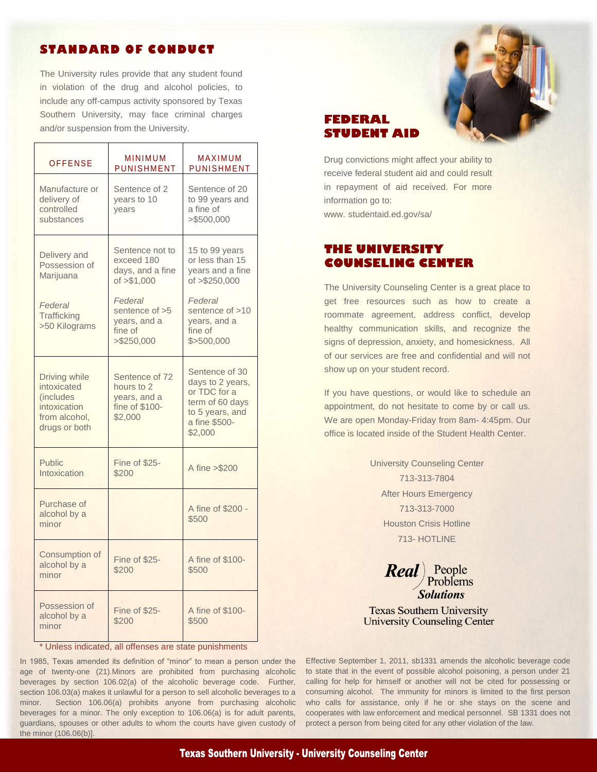#### **STANDARD OF CONDUCT**

The University rules provide that any student found in violation of the drug and alcohol policies, to include any off-campus activity sponsored by Texas Southern University, may face criminal charges and/or suspension from the University.

| <b>OFFENSE</b>                                                                               | <b>MINIMUM</b><br>PUNISHMENT                                              | MAXIMUM<br>PUNISHMENT                                                                                                |
|----------------------------------------------------------------------------------------------|---------------------------------------------------------------------------|----------------------------------------------------------------------------------------------------------------------|
| Manufacture or<br>delivery of<br>controlled<br>substances                                    | Sentence of 2<br>years to 10<br>vears                                     | Sentence of 20<br>to 99 years and<br>a fine of<br>>\$500,000                                                         |
| Delivery and<br>Possession of<br>Marijuana                                                   | Sentence not to<br>exceed 180<br>days, and a fine<br>of $> $1,000$        | 15 to 99 years<br>or less than 15<br>years and a fine<br>of >\$250,000                                               |
| Federal<br>Trafficking<br>>50 Kilograms                                                      | Federal<br>sentence of >5<br>years, and a<br>fine of<br>> \$250.000       | Federal<br>sentence of >10<br>years, and a<br>fine of<br>\$>500.000                                                  |
| Driving while<br>intoxicated<br>(includes)<br>intoxication<br>from alcohol.<br>drugs or both | Sentence of 72<br>hours to 2<br>years, and a<br>fine of \$100-<br>\$2,000 | Sentence of 30<br>days to 2 years,<br>or TDC for a<br>term of 60 days<br>to 5 years, and<br>a fine \$500-<br>\$2,000 |
| <b>Public</b><br>Intoxication                                                                | Fine of \$25-<br>\$200                                                    | A fine > \$200                                                                                                       |
| Purchase of<br>alcohol by a<br>minor                                                         |                                                                           | A fine of \$200 -<br>\$500                                                                                           |
| Consumption of<br>alcohol by a<br>minor                                                      | Fine of \$25-<br>\$200                                                    | A fine of \$100-<br>\$500                                                                                            |
| Possession of<br>alcohol by a<br>minor                                                       | Fine of \$25-<br>\$200                                                    | A fine of \$100-<br>\$500                                                                                            |

\* Unless indicated, all offenses are state punishments

In 1985, Texas amended its definition of "minor" to mean a person under the Effective September 1, 2011, sb1331 amends the alcoholic beverage code age of twenty-one (21). Minors are prohibited from purchasing alcoholic to state that in the event of possible alcohol poisoning, a person under 21 beverages by section 106.02(a) of the alcoholic beverage code. Further, calling for help for himself or another will not be cited for possessing or section 106.03(a) makes it unlawful for a person to sell alcoholic beverages to a consuming alcohol. The immunity for minors is limited to the first person minor. Section 106.06(a) prohibits anyone from purchasing alcoholic who calls for assistance, only if he or she stays on the scene and beverages for a minor. The only exception to 106.06(a) is for adult parents, cooperates with law enforcement and medical personnel. SB 1331 does not guardians, spouses or other adults to whom the courts have given custody of protect a person from being cited for any other violation of the law. the minor (106.06(b)].



#### **FEDERAL STUDENT AID**

Drug convictions might affect your ability to receive federal student aid and could result in repayment of aid received. For more information go to: www. studentaid.ed.gov/sa/

## **THE UNIVERSITY COUNSELING CENTER**

The University Counseling Center is a great place to get free resources such as how to create a roommate agreement, address conflict, develop healthy communication skills, and recognize the signs of depression, anxiety, and homesickness. All of our services are free and confidential and will not show up on your student record.

If you have questions, or would like to schedule an appointment, do not hesitate to come by or call us. We are open Monday-Friday from 8am- 4:45pm. Our office is located inside of the Student Health Center.

> University Counseling Center 713-313-7804 After Hours Emergency 713-313-7000 Houston Crisis Hotline 713- HOTLINE

**Real** People<br>Problems

**Texas Southern University University Counseling Center**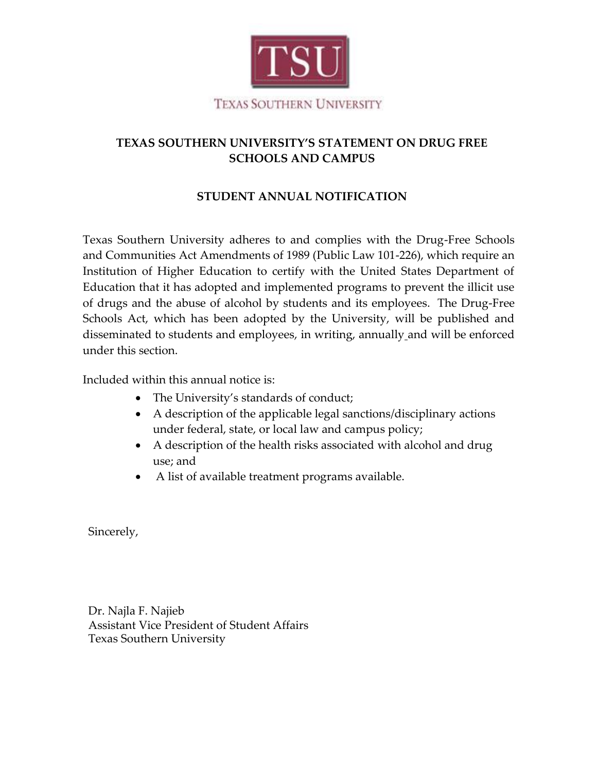

# **TEXAS SOUTHERN UNIVERSITY'S STATEMENT ON DRUG FREE SCHOOLS AND CAMPUS**

# **STUDENT ANNUAL NOTIFICATION**

Texas Southern University adheres to and complies with the Drug-Free Schools and Communities Act Amendments of 1989 (Public Law 101-226), which require an Institution of Higher Education to certify with the United States Department of Education that it has adopted and implemented programs to prevent the illicit use of drugs and the abuse of alcohol by students and its employees. The Drug-Free Schools Act, which has been adopted by the University, will be published and disseminated to students and employees, in writing, annually and will be enforced under this section.

Included within this annual notice is:

- The University's standards of conduct;
- A description of the applicable legal sanctions/disciplinary actions under federal, state, or local law and campus policy;
- A description of the health risks associated with alcohol and drug use; and
- A list of available treatment programs available.

Sincerely,

Dr. Najla F. Najieb Assistant Vice President of Student Affairs Texas Southern University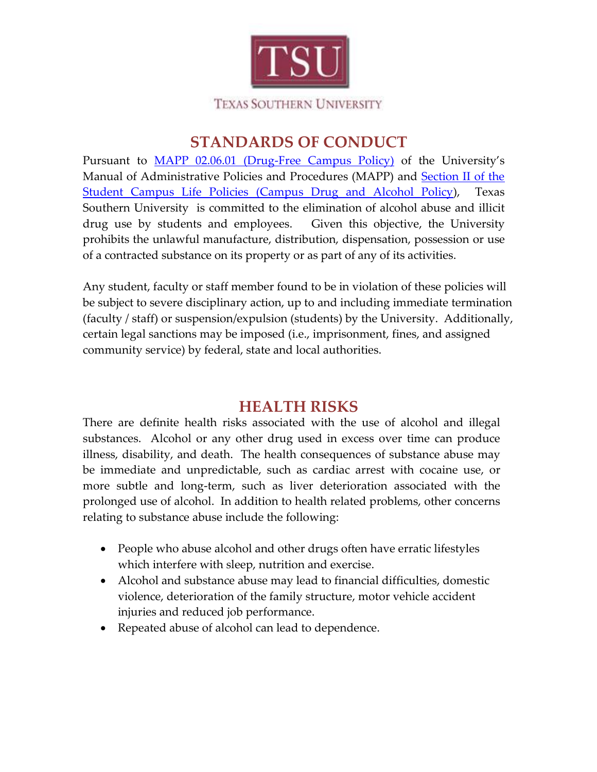

# **STANDARDS OF CONDUCT**

Pursuant to [MAPP 02.06.01 \(Drug-Free Campus Policy\)](http://www.tsu.edu/PDFFiles/Admin/MAPP/Human%20Resources/02%2006%2001%20Drug-Free_001.pdf) of the University's Manual of Administrative Policies and Procedures (MAPP) and Section II of the [Student Campus Life Policies \(Campus Drug and Alcohol Policy\)](http://codes.tsu.edu/student-life-policies/section-ii-campus-alcohol-and-drug-policy/), Texas Southern University is committed to the elimination of alcohol abuse and illicit drug use by students and employees. Given this objective, the University prohibits the unlawful manufacture, distribution, dispensation, possession or use of a contracted substance on its property or as part of any of its activities.

Any student, faculty or staff member found to be in violation of these policies will be subject to severe disciplinary action, up to and including immediate termination (faculty / staff) or suspension/expulsion (students) by the University. Additionally, certain legal sanctions may be imposed (i.e., imprisonment, fines, and assigned community service) by federal, state and local authorities.

# **HEALTH RISKS**

There are definite health risks associated with the use of alcohol and illegal substances. Alcohol or any other drug used in excess over time can produce illness, disability, and death. The health consequences of substance abuse may be immediate and unpredictable, such as cardiac arrest with cocaine use, or more subtle and long-term, such as liver deterioration associated with the prolonged use of alcohol. In addition to health related problems, other concerns relating to substance abuse include the following:

- People who abuse alcohol and other drugs often have erratic lifestyles which interfere with sleep, nutrition and exercise.
- Alcohol and substance abuse may lead to financial difficulties, domestic violence, deterioration of the family structure, motor vehicle accident injuries and reduced job performance.
- Repeated abuse of alcohol can lead to dependence.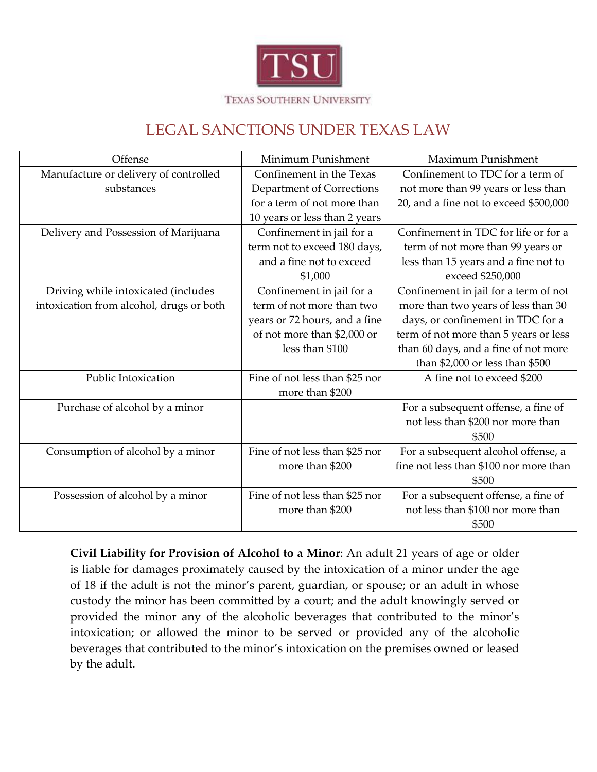

# LEGAL SANCTIONS UNDER TEXAS LAW

| Offense                                  | Minimum Punishment             | Maximum Punishment                     |
|------------------------------------------|--------------------------------|----------------------------------------|
| Manufacture or delivery of controlled    | Confinement in the Texas       | Confinement to TDC for a term of       |
| substances                               | Department of Corrections      | not more than 99 years or less than    |
|                                          | for a term of not more than    | 20, and a fine not to exceed \$500,000 |
|                                          | 10 years or less than 2 years  |                                        |
| Delivery and Possession of Marijuana     | Confinement in jail for a      | Confinement in TDC for life or for a   |
|                                          | term not to exceed 180 days,   | term of not more than 99 years or      |
|                                          | and a fine not to exceed       | less than 15 years and a fine not to   |
|                                          | \$1,000                        | exceed \$250,000                       |
| Driving while intoxicated (includes      | Confinement in jail for a      | Confinement in jail for a term of not  |
| intoxication from alcohol, drugs or both | term of not more than two      | more than two years of less than 30    |
|                                          | years or 72 hours, and a fine  | days, or confinement in TDC for a      |
|                                          | of not more than \$2,000 or    | term of not more than 5 years or less  |
|                                          | less than \$100                | than 60 days, and a fine of not more   |
|                                          |                                | than \$2,000 or less than \$500        |
| Public Intoxication                      | Fine of not less than \$25 nor | A fine not to exceed \$200             |
|                                          | more than \$200                |                                        |
| Purchase of alcohol by a minor           |                                | For a subsequent offense, a fine of    |
|                                          |                                | not less than \$200 nor more than      |
|                                          |                                | \$500                                  |
| Consumption of alcohol by a minor        | Fine of not less than \$25 nor | For a subsequent alcohol offense, a    |
|                                          | more than \$200                | fine not less than \$100 nor more than |
|                                          |                                | \$500                                  |
| Possession of alcohol by a minor         | Fine of not less than \$25 nor | For a subsequent offense, a fine of    |
|                                          | more than \$200                | not less than \$100 nor more than      |
|                                          |                                | \$500                                  |

**Civil Liability for Provision of Alcohol to a Minor**: An adult 21 years of age or older is liable for damages proximately caused by the intoxication of a minor under the age of 18 if the adult is not the minor's parent, guardian, or spouse; or an adult in whose custody the minor has been committed by a court; and the adult knowingly served or provided the minor any of the alcoholic beverages that contributed to the minor's intoxication; or allowed the minor to be served or provided any of the alcoholic beverages that contributed to the minor's intoxication on the premises owned or leased by the adult.